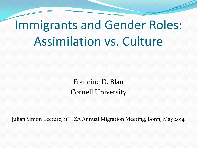# Immigrants and Gender Roles: Assimilation vs. Culture

Francine D. Blau Cornell University

Julian Simon Lecture, 11<sup>th</sup> IZA Annual Migration Meeting, Bonn, May 2014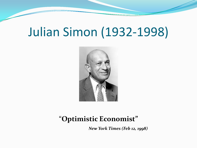### Julian Simon (1932-1998)



#### "**Optimistic Economist"**

*New York Times (Feb 12, 1998)*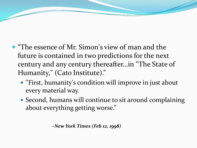- "The essence of Mr. Simon's view of man and the future is contained in two predictions for the next century and any century thereafter…in ''The State of Humanity,'' (Cato Institute)."
	- ''First, humanity's condition will improve in just about every material way.
	- Second, humans will continue to sit around complaining about everything getting worse."

*--New York Times (Feb 12, 1998)*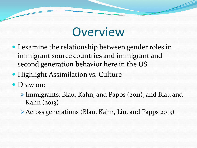#### **Overview**

- I examine the relationship between gender roles in immigrant source countries and immigrant and second generation behavior here in the US
- **Highlight Assimilation vs. Culture**
- Draw on:
	- Immigrants: Blau, Kahn, and Papps (2011); and Blau and Kahn (2013)
	- Across generations (Blau, Kahn, Liu, and Papps 2013)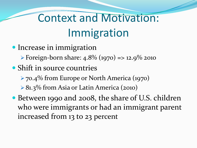# Context and Motivation: Immigration

- Increase in immigration
	- $\triangleright$  Foreign-born share: 4.8% (1970) => 12.9% 2010
- Shift in source countries
	- 70.4% from Europe or North America (1970)
	- ▶ 81.3% from Asia or Latin America (2010)
- Between 1990 and 2008, the share of U.S. children who were immigrants or had an immigrant parent increased from 13 to 23 percent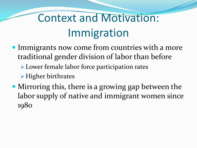## Context and Motivation: Immigration

- Immigrants now come from countries with a more traditional gender division of labor than before
	- Lower female labor force participation rates
	- Higher birthrates
- Mirroring this, there is a growing gap between the labor supply of native and immigrant women since 1980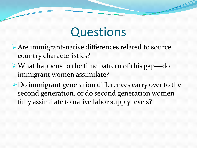#### **Questions**

- Are immigrant-native differences related to source country characteristics?
- What happens to the time pattern of this gap—do immigrant women assimilate?
- Do immigrant generation differences carry over to the second generation, or do second generation women fully assimilate to native labor supply levels?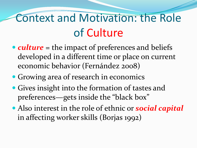## Context and Motivation: the Role of Culture

- *culture* = the impact of preferences and beliefs developed in a different time or place on current economic behavior (Fernández 2008)
- Growing area of research in economics
- Gives insight into the formation of tastes and preferences—gets inside the "black box"
- Also interest in the role of ethnic or *social capital*  in affecting worker skills (Borjas 1992)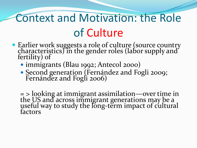# Context and Motivation: the Role of Culture

- Earlier work suggests a role of culture (source country characteristics) in the gender roles (labor supply and fertility) of
	- immigrants (Blau 1992; Antecol 2000)
	- Second generation (Fernández and Fogli 2009; Fernández and Fogli 2006)

= > looking at immigrant assimilation—over time in the US and across immigrant generations may be a useful way to study the long-term impact of cultural<br>factors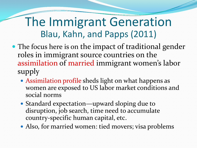#### The Immigrant Generation Blau, Kahn, and Papps (2011)

- The focus here is on the impact of traditional gender roles in immigrant source countries on the assimilation of married immigrant women's labor supply
	- Assimilation profile sheds light on what happens as women are exposed to US labor market conditions and social norms
	- Standard expectation—upward sloping due to disruption, job search, time need to accumulate country-specific human capital, etc.
	- Also, for married women: tied movers; visa problems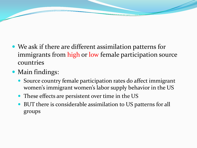- We ask if there are different assimilation patterns for immigrants from high or low female participation source countries
- Main findings:
	- Source country female participation rates do affect immigrant women's immigrant women's labor supply behavior in the US
	- These effects are persistent over time in the US
	- BUT there is considerable assimilation to US patterns for all groups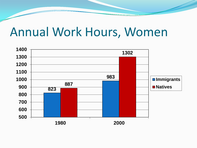#### Annual Work Hours, Women

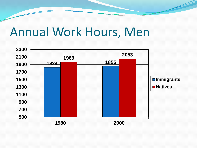#### Annual Work Hours, Men

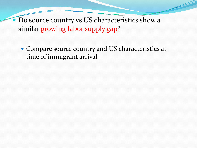Do source country vs US characteristics show a similar growing labor supply gap?

 Compare source country and US characteristics at time of immigrant arrival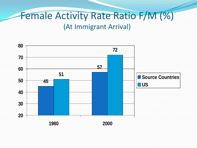#### Female Activity Rate Ratio F/M (%) (At Immigrant Arrival)

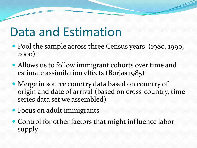### Data and Estimation

- Pool the sample across three Census years (1980, 1990, 2000)
- Allows us to follow immigrant cohorts over time and estimate assimilation effects (Borjas 1985)
- Merge in source country data based on country of origin and date of arrival (based on cross-country, time series data set we assembled)
- Focus on adult immigrants
- Control for other factors that might influence labor supply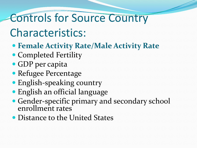#### Controls for Source Country

#### Characteristics:

- **Female Activity Rate/Male Activity Rate**
- Completed Fertility
- GDP per capita
- Refugee Percentage
- English-speaking country
- English an official language
- Gender-specific primary and secondary school enrollment rates
- **Distance to the United States**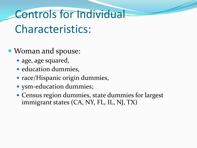# Controls for Individual Characteristics:

- Woman and spouse:
	- age, age squared,
	- education dummies,
	- race/Hispanic origin dummies,
	- ysm-education dummies;
	- Census region dummies, state dummies for largest immigrant states (CA, NY, FL, IL, NJ, TX)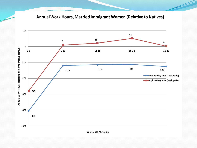**Annual Work Hours, Married Immigrant Women (Relative to Natives)**

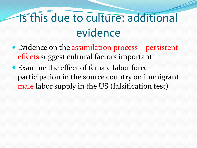- Evidence on the assimilation process—persistent effects suggest cultural factors important
- Examine the effect of female labor force participation in the source country on immigrant male labor supply in the US (falsification test)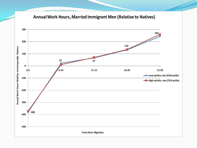**Annual Work Hours, Married Immigrant Men (Relative to Natives) 300 244 200 132** Annual Work Hours Relative to Comparable Natives **Annual Work Hours Relative to Comparable Natives 100 22 67 0 0-5 6-10 11-15 16-20 21-30 Low activity rate (25th pctile) -100 High activity rate (75th pctile) -200 -300 -380 -400 -500 Years Since Migration**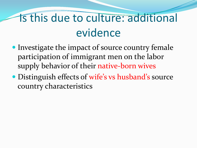- Investigate the impact of source country female participation of immigrant men on the labor supply behavior of their native-born wives
- Distinguish effects of wife's vs husband's source country characteristics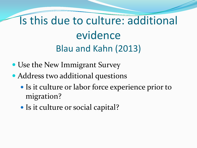#### Is this due to culture: additional evidence Blau and Kahn (2013)

- Use the New Immigrant Survey
- Address two additional questions
	- Is it culture or labor force experience prior to migration?
	- Is it culture or social capital?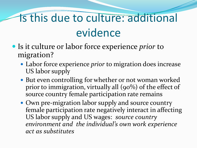- Is it culture or labor force experience *prior* to migration?
	- Labor force experience *prior* to migration does increase US labor supply
	- But even controlling for whether or not woman worked prior to immigration, virtually all (90%) of the effect of source country female participation rate remains
	- Own pre-migration labor supply and source country female participation rate negatively interact in affecting US labor supply and US wages: *source country environment and the individual's own work experience act as substitutes*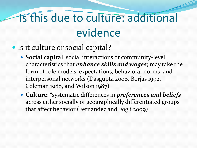- Is it culture or social capital?
	- **Social capital**: social interactions or community-level characteristics that *enhance skills and wages*; may take the form of role models, expectations, behavioral norms, and interpersonal networks (Dasgupta 2008, Borjas 1992, Coleman 1988, and Wilson 1987)
	- **Culture**: "systematic differences in *preferences and beliefs* across either socially or geographically differentiated groups" that affect behavior (Fernandez and Fogli 2009)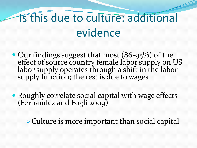- Our findings suggest that most (86-95%) of the effect of source country female labor supply on US labor supply operates through a shift in the labor supply function; the rest is due to wages
- Roughly correlate social capital with wage effects (Fernandez and Fogli 2009)

Culture is more important than social capital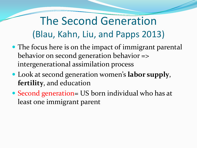#### The Second Generation (Blau, Kahn, Liu, and Papps 2013)

- The focus here is on the impact of immigrant parental behavior on second generation behavior => intergenerational assimilation process
- Look at second generation women's **labor supply**, **fertility**, and education
- Second generation= US born individual who has at least one immigrant parent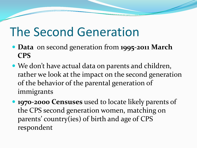### The Second Generation

- **Data** on second generation from **1995-2011 March CPS**
- We don't have actual data on parents and children, rather we look at the impact on the second generation of the behavior of the parental generation of immigrants
- **1970-2000 Censuses** used to locate likely parents of the CPS second generation women, matching on parents' country(ies) of birth and age of CPS respondent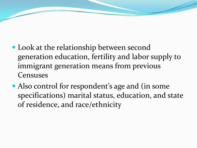- Look at the relationship between second generation education, fertility and labor supply to immigrant generation means from previous Censuses
- Also control for respondent's age and (in some specifications) marital status, education, and state of residence, and race/ethnicity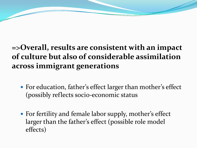#### **=>Overall, results are consistent with an impact of culture but also of considerable assimilation across immigrant generations**

- For education, father's effect larger than mother's effect (possibly reflects socio-economic status
- For fertility and female labor supply, mother's effect larger than the father's effect (possible role model effects)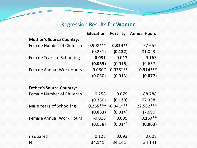#### Regression Results for **Women**

|                                  | <b>Education</b> | <b>Fertility</b> | <b>Annual Hours</b> |
|----------------------------------|------------------|------------------|---------------------|
| <b>Mother's Source Country:</b>  |                  |                  |                     |
| <b>Female Number of Children</b> | $-0.908***$      | $0.324**$        | $-27.652$           |
|                                  | (0.251)          | (0.132)          | (81.023)            |
| Female Years of Schooling        | 0.031            | 0.013            | $-9.163$            |
|                                  | (0.035)          | (0.016)          | (9.657)             |
| <b>Female Annual Work Hours</b>  | $0.050*$         | $-0.035***$      | $0.314***$          |
|                                  | (0.030)          | (0.013)          | (0.077)             |
|                                  |                  |                  |                     |
| <b>Father's Source Country:</b>  |                  |                  |                     |
| <b>Female Number of Children</b> | $-0.258$         | 0.079            | 88.788              |
|                                  | (0.350)          | (0.130)          | (67.338)            |
| Male Years of Schooling          | $0.265***$       | $-0.041***$      | 22.582***           |
|                                  | (0.033)          | (0.014)          | (7.690)             |
| <b>Female Annual Work Hours</b>  | $-0.016$         | 0.005            | $0.157**$           |
|                                  | (0.038)          | (0.014)          | (0.063)             |
|                                  |                  |                  |                     |
| r squared                        | 0.128            | 0.093            | 0.008               |
| N                                | 34,141           | 34,141           | 34,141              |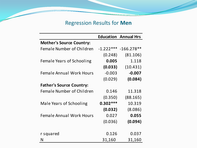#### Regression Results for **Men**

|                                  |             | <b>Education Annual Hrs</b> |  |
|----------------------------------|-------------|-----------------------------|--|
| <b>Mother's Source Country:</b>  |             |                             |  |
| <b>Female Number of Children</b> | $-1.222***$ | $-166.278**$                |  |
|                                  | (0.248)     | (81.106)                    |  |
| <b>Female Years of Schooling</b> | 0.005       | 1.118                       |  |
|                                  | (0.033)     | (10.431)                    |  |
| <b>Female Annual Work Hours</b>  | $-0.003$    | $-0.007$                    |  |
|                                  | (0.029)     | (0.084)                     |  |
| <b>Father's Source Country:</b>  |             |                             |  |
| Female Number of Children        | 0.146       | 11.318                      |  |
|                                  | (0.350)     | (88.165)                    |  |
| <b>Male Years of Schooling</b>   | $0.302***$  | 10.319                      |  |
|                                  | (0.032)     | (8.086)                     |  |
| <b>Female Annual Work Hours</b>  | 0.027       | 0.055                       |  |
|                                  | (0.036)     | (0.094)                     |  |
|                                  |             |                             |  |
| r squared                        | 0.126       | 0.037                       |  |
| N                                | 31,160      | 31,160                      |  |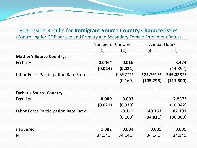#### Regression Results for **Immigrant Source Country Characteristics**

(Controlling for GDP per cap and Primary and Secondary Female Enrollment Rates)

|                                      | Number of Children |             | <b>Annual Hours</b> |           |
|--------------------------------------|--------------------|-------------|---------------------|-----------|
|                                      | (1)                | (2)         | (3)                 | (4)       |
| <b>Mother's Source Country:</b>      |                    |             |                     |           |
| Fertility                            | $0.046*$           | 0.016       |                     | 8.474     |
|                                      | (0.024)            | (0.021)     |                     | (14.392)  |
| Labor Force Participation Rate Ratio |                    | $-0.597***$ | 223.791**           | 249.033** |
|                                      |                    | (0.169)     | (105.795)           | (111.500) |
|                                      |                    |             |                     |           |
| <b>Father's Source Country:</b>      |                    |             |                     |           |
| Fertility                            | 0.009              | 0.003       |                     | 17.857*   |
|                                      | (0.021)            | (0.020)     |                     | (10.042)  |
| Labor Force Participation Rate Ratio |                    | $-0.112$    | 40.763              | 87.191    |
|                                      |                    | (0.168)     | (84.811)            | (86.863)  |
|                                      |                    |             |                     |           |
| r squared                            | 0.082              | 0.084       | 0.005               | 0.005     |
| N                                    | 34,141             | 34,141      | 34,141              | 34,141    |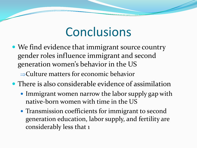#### **Conclusions**

• We find evidence that immigrant source country gender roles influence immigrant and second generation women's behavior in the US

⇒Culture matters for economic behavior

- There is also considerable evidence of assimilation
	- Immigrant women narrow the labor supply gap with native-born women with time in the US
	- Transmission coefficients for immigrant to second generation education, labor supply, and fertility are considerably less that 1